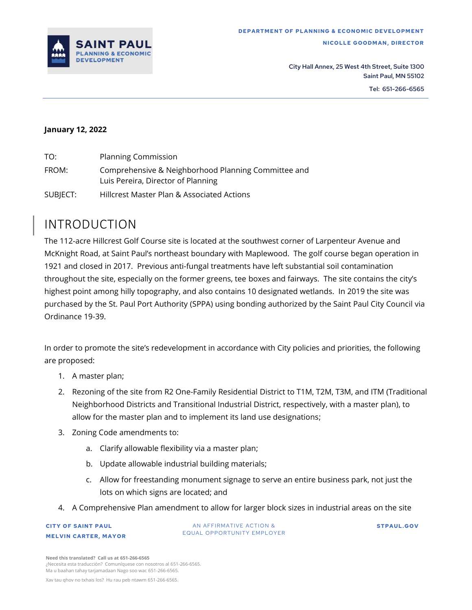

#### **January 12, 2022**

| TO:      | <b>Planning Commission</b>                                                                |
|----------|-------------------------------------------------------------------------------------------|
| FROM:    | Comprehensive & Neighborhood Planning Committee and<br>Luis Pereira, Director of Planning |
| SUBJECT: | Hillcrest Master Plan & Associated Actions                                                |

### <span id="page-0-0"></span>INTRODUCTION

The 112-acre Hillcrest Golf Course site is located at the southwest corner of Larpenteur Avenue and McKnight Road, at Saint Paul's northeast boundary with Maplewood. The golf course began operation in 1921 and closed in 2017. Previous anti-fungal treatments have left substantial soil contamination throughout the site, especially on the former greens, tee boxes and fairways. The site contains the city's highest point among hilly topography, and also contains 10 designated wetlands. In 2019 the site was purchased by the St. Paul Port Authority (SPPA) using bonding authorized by the Saint Paul City Council via Ordinance 19-39.

In order to promote the site's redevelopment in accordance with City policies and priorities, the following are proposed:

- 1. A master plan;
- 2. Rezoning of the site from R2 One-Family Residential District to T1M, T2M, T3M, and ITM (Traditional Neighborhood Districts and Transitional Industrial District, respectively, with a master plan), to allow for the master plan and to implement its land use designations;
- 3. Zoning Code amendments to:
	- a. Clarify allowable flexibility via a master plan;
	- b. Update allowable industrial building materials;
	- c. Allow for freestanding monument signage to serve an entire business park, not just the lots on which signs are located; and
- 4. A Comprehensive Plan amendment to allow for larger block sizes in industrial areas on the site

#### **CITY OF SAINT PAUL MELVIN CARTER, MAYOR**

AN AFFIRMATIVE ACTION & EQUAL OPPORTUNITY EMPLOYER **ST PAUL .GOV**

**Need this translated? Call us at 651-266-6565** ¿Necesita esta traducción? Comuníquese con nosotros al 651-266-6565. Ma u baahan tahay tarjamadaan Nago soo wac 651-266-6565.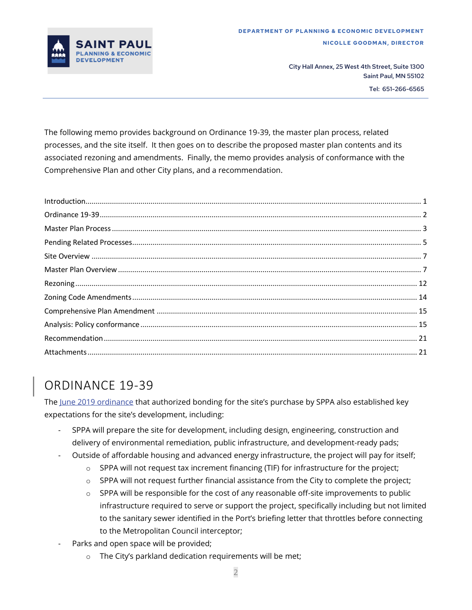

The following memo provides background on Ordinance 19-39, the master plan process, related processes, and the site itself. It then goes on to describe the proposed master plan contents and its associated rezoning and amendments. Finally, the memo provides analysis of conformance with the Comprehensive Plan and other City plans, and a recommendation.

# <span id="page-1-0"></span>ORDINANCE 19-39

The June 2019 [ordinance](https://stpaul.legistar.com/LegislationDetail.aspx?ID=3980563&GUID=31B6C7BB-BA18-433A-BA27-075DE97E9368) that authorized bonding for the site's purchase by SPPA also established key expectations for the site's development, including:

- SPPA will prepare the site for development, including design, engineering, construction and delivery of environmental remediation, public infrastructure, and development-ready pads;
- Outside of affordable housing and advanced energy infrastructure, the project will pay for itself;
	- $\circ$  SPPA will not request tax increment financing (TIF) for infrastructure for the project;
	- $\circ$  SPPA will not request further financial assistance from the City to complete the project;
	- $\circ$  SPPA will be responsible for the cost of any reasonable off-site improvements to public infrastructure required to serve or support the project, specifically including but not limited to the sanitary sewer identified in the Port's briefing letter that throttles before connecting to the Metropolitan Council interceptor;
- Parks and open space will be provided;
	- o The City's parkland dedication requirements will be met;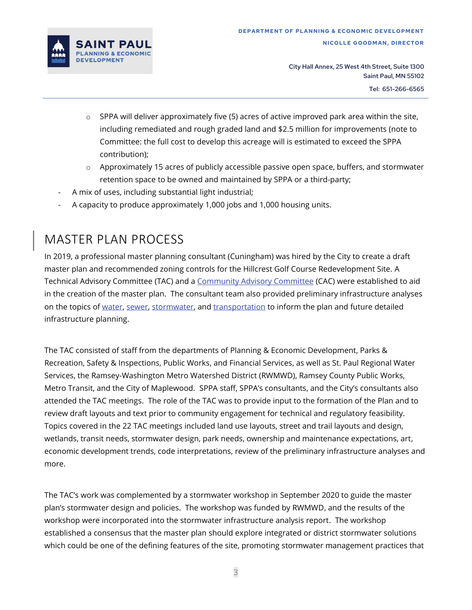

- $\circ$  SPPA will deliver approximately five (5) acres of active improved park area within the site, including remediated and rough graded land and \$2.5 million for improvements (note to Committee: the full cost to develop this acreage will is estimated to exceed the SPPA contribution);
- $\circ$  Approximately 15 acres of publicly accessible passive open space, buffers, and stormwater retention space to be owned and maintained by SPPA or a third-party;
- A mix of uses, including substantial light industrial;
- A capacity to produce approximately 1,000 jobs and 1,000 housing units.

### <span id="page-2-0"></span>MASTER PLAN PROCESS

In 2019, a professional master planning consultant (Cuningham) was hired by the City to create a draft master plan and recommended zoning controls for the Hillcrest Golf Course Redevelopment Site. A Technical Advisory Committee (TAC) and a [Community Advisory Committee](https://www.stpaul.gov/departments/planning-and-economic-development/planning/hillcrest-golf-course-master-plan/hillcrest) (CAC) were established to aid in the creation of the master plan. The consultant team also provided preliminary infrastructure analyses on the topics of [water, sewer,](https://www.stpaul.gov/sites/default/files/2021-11/Hillcrest_TAC_PPT_Water-Sanitary.pdf) [stormwater,](https://www.stpaul.gov/sites/default/files/2021-11/HillcrestStormwater_TechnicalMemorandum_02222021r.pdf) and [transportation](https://www.stpaul.gov/sites/default/files/2021-11/Hillcrest%20Master%20Plan%20-%20Transportation%20Planning%20Analysis%20-%20May%202021.pdf) to inform the plan and future detailed infrastructure planning.

The TAC consisted of staff from the departments of Planning & Economic Development, Parks & Recreation, Safety & Inspections, Public Works, and Financial Services, as well as St. Paul Regional Water Services, the Ramsey-Washington Metro Watershed District (RWMWD), Ramsey County Public Works, Metro Transit, and the City of Maplewood. SPPA staff, SPPA's consultants, and the City's consultants also attended the TAC meetings. The role of the TAC was to provide input to the formation of the Plan and to review draft layouts and text prior to community engagement for technical and regulatory feasibility. Topics covered in the 22 TAC meetings included land use layouts, street and trail layouts and design, wetlands, transit needs, stormwater design, park needs, ownership and maintenance expectations, art, economic development trends, code interpretations, review of the preliminary infrastructure analyses and more.

The TAC's work was complemented by a stormwater workshop in September 2020 to guide the master plan's stormwater design and policies. The workshop was funded by RWMWD, and the results of the workshop were incorporated into the stormwater infrastructure analysis report. The workshop established a consensus that the master plan should explore integrated or district stormwater solutions which could be one of the defining features of the site, promoting stormwater management practices that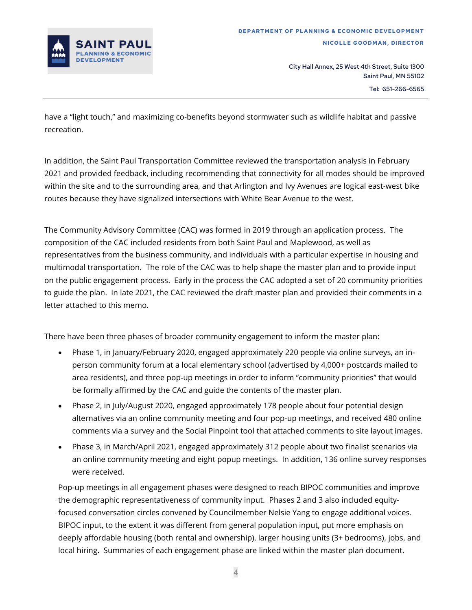

have a "light touch," and maximizing co-benefits beyond stormwater such as wildlife habitat and passive recreation.

In addition, the Saint Paul Transportation Committee reviewed the transportation analysis in February 2021 and provided feedback, including recommending that connectivity for all modes should be improved within the site and to the surrounding area, and that Arlington and Ivy Avenues are logical east-west bike routes because they have signalized intersections with White Bear Avenue to the west.

The Community Advisory Committee (CAC) was formed in 2019 through an application process. The composition of the CAC included residents from both Saint Paul and Maplewood, as well as representatives from the business community, and individuals with a particular expertise in housing and multimodal transportation. The role of the CAC was to help shape the master plan and to provide input on the public engagement process. Early in the process the CAC adopted a set of 20 community priorities to guide the plan. In late 2021, the CAC reviewed the draft master plan and provided their comments in a letter attached to this memo.

There have been three phases of broader community engagement to inform the master plan:

- Phase 1, in January/February 2020, engaged approximately 220 people via online surveys, an inperson community forum at a local elementary school (advertised by 4,000+ postcards mailed to area residents), and three pop-up meetings in order to inform "community priorities" that would be formally affirmed by the CAC and guide the contents of the master plan.
- Phase 2, in July/August 2020, engaged approximately 178 people about four potential design alternatives via an online community meeting and four pop-up meetings, and received 480 online comments via a survey and the Social Pinpoint tool that attached comments to site layout images.
- Phase 3, in March/April 2021, engaged approximately 312 people about two finalist scenarios via an online community meeting and eight popup meetings. In addition, 136 online survey responses were received.

Pop-up meetings in all engagement phases were designed to reach BIPOC communities and improve the demographic representativeness of community input. Phases 2 and 3 also included equityfocused conversation circles convened by Councilmember Nelsie Yang to engage additional voices. BIPOC input, to the extent it was different from general population input, put more emphasis on deeply affordable housing (both rental and ownership), larger housing units (3+ bedrooms), jobs, and local hiring. Summaries of each engagement phase are linked within the master plan document.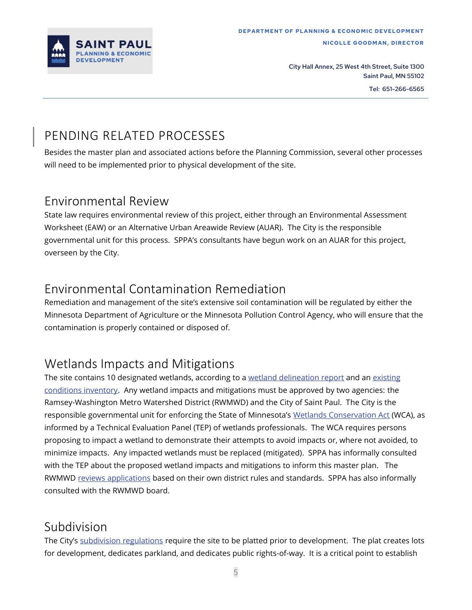

# <span id="page-4-0"></span>PENDING RELATED PROCESSES

Besides the master plan and associated actions before the Planning Commission, several other processes will need to be implemented prior to physical development of the site.

### Environmental Review

State law requires environmental review of this project, either through an Environmental Assessment Worksheet (EAW) or an Alternative Urban Areawide Review (AUAR). The City is the responsible governmental unit for this process. SPPA's consultants have begun work on an AUAR for this project, overseen by the City.

### Environmental Contamination Remediation

Remediation and management of the site's extensive soil contamination will be regulated by either the Minnesota Department of Agriculture or the Minnesota Pollution Control Agency, who will ensure that the contamination is properly contained or disposed of.

### Wetlands Impacts and Mitigations

The site contains 10 designated wetlands, according to a [wetland delineation report](https://www.stpaul.gov/sites/default/files/2021-12/Delineation%20Report%2051520.pdf) and an existing [conditions inventory.](https://www.stpaul.gov/sites/default/files/2021-11/HillcrestGolfCourseExistingConditions_FINAL.pdf) Any wetland impacts and mitigations must be approved by two agencies: the Ramsey-Washington Metro Watershed District (RWMWD) and the City of Saint Paul. The City is the responsible governmental unit for enforcing the State of Minnesota's [Wetlands Conservation Act](https://bwsr.state.mn.us/wca-program-guidance-and-information) (WCA), as informed by a Technical Evaluation Panel (TEP) of wetlands professionals. The WCA requires persons proposing to impact a wetland to demonstrate their attempts to avoid impacts or, where not avoided, to minimize impacts. Any impacted wetlands must be replaced (mitigated). SPPA has informally consulted with the TEP about the proposed wetland impacts and mitigations to inform this master plan. The RWMWD [reviews applications](https://rwmwd.org/permits/) based on their own district rules and standards. SPPA has also informally consulted with the RWMWD board.

### Subdivision

The City's [subdivision regulations](https://library.municode.com/mn/st._paul/codes/code_of_ordinances?nodeId=PTIILECO_TITVIIIZOCO_CH69ZOCOUBRE) require the site to be platted prior to development. The plat creates lots for development, dedicates parkland, and dedicates public rights-of-way. It is a critical point to establish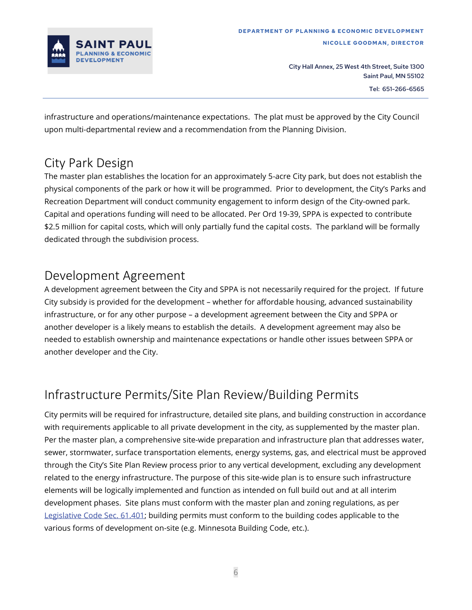

infrastructure and operations/maintenance expectations. The plat must be approved by the City Council upon multi-departmental review and a recommendation from the Planning Division.

### City Park Design

The master plan establishes the location for an approximately 5-acre City park, but does not establish the physical components of the park or how it will be programmed. Prior to development, the City's Parks and Recreation Department will conduct community engagement to inform design of the City-owned park. Capital and operations funding will need to be allocated. Per Ord 19-39, SPPA is expected to contribute \$2.5 million for capital costs, which will only partially fund the capital costs. The parkland will be formally dedicated through the subdivision process.

### Development Agreement

A development agreement between the City and SPPA is not necessarily required for the project. If future City subsidy is provided for the development – whether for affordable housing, advanced sustainability infrastructure, or for any other purpose – a development agreement between the City and SPPA or another developer is a likely means to establish the details. A development agreement may also be needed to establish ownership and maintenance expectations or handle other issues between SPPA or another developer and the City.

# Infrastructure Permits/Site Plan Review/Building Permits

City permits will be required for infrastructure, detailed site plans, and building construction in accordance with requirements applicable to all private development in the city, as supplemented by the master plan. Per the master plan, a comprehensive site-wide preparation and infrastructure plan that addresses water, sewer, stormwater, surface transportation elements, energy systems, gas, and electrical must be approved through the City's Site Plan Review process prior to any vertical development, excluding any development related to the energy infrastructure. The purpose of this site-wide plan is to ensure such infrastructure elements will be logically implemented and function as intended on full build out and at all interim development phases. Site plans must conform with the master plan and zoning regulations, as per [Legislative Code Sec. 61.401;](https://library.municode.com/mn/st._paul/codes/code_of_ordinances?nodeId=PTIILECO_TITVIIIZOCO_CH61ZOCODMEN_ARTIV61.400.SIPLRE) building permits must conform to the building codes applicable to the various forms of development on-site (e.g. Minnesota Building Code, etc.).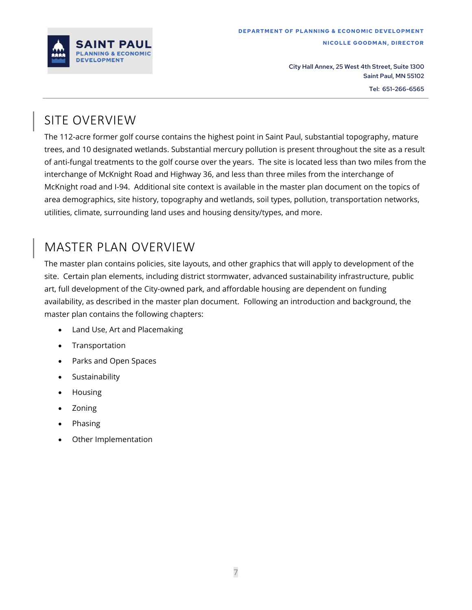

# <span id="page-6-0"></span>SITE OVERVIEW

The 112-acre former golf course contains the highest point in Saint Paul, substantial topography, mature trees, and 10 designated wetlands. Substantial mercury pollution is present throughout the site as a result of anti-fungal treatments to the golf course over the years. The site is located less than two miles from the interchange of McKnight Road and Highway 36, and less than three miles from the interchange of McKnight road and I-94. Additional site context is available in the master plan document on the topics of area demographics, site history, topography and wetlands, soil types, pollution, transportation networks, utilities, climate, surrounding land uses and housing density/types, and more.

### <span id="page-6-1"></span>MASTER PLAN OVERVIEW

The master plan contains policies, site layouts, and other graphics that will apply to development of the site. Certain plan elements, including district stormwater, advanced sustainability infrastructure, public art, full development of the City-owned park, and affordable housing are dependent on funding availability, as described in the master plan document. Following an introduction and background, the master plan contains the following chapters:

- Land Use, Art and Placemaking
- Transportation
- Parks and Open Spaces
- Sustainability
- Housing
- Zoning
- Phasing
- Other Implementation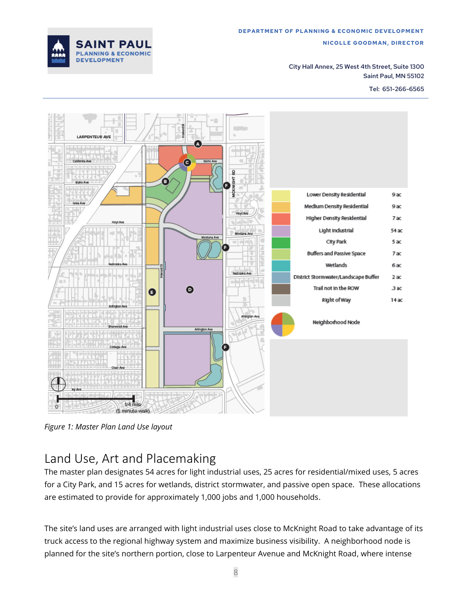

City Hall Annex, 25 West 4th Street, Suite 1300 Saint Paul, MN 55102

Tel: 651-266-6565



*Figure 1: Master Plan Land Use layout*

### Land Use, Art and Placemaking

The master plan designates 54 acres for light industrial uses, 25 acres for residential/mixed uses, 5 acres for a City Park, and 15 acres for wetlands, district stormwater, and passive open space. These allocations are estimated to provide for approximately 1,000 jobs and 1,000 households.

The site's land uses are arranged with light industrial uses close to McKnight Road to take advantage of its truck access to the regional highway system and maximize business visibility. A neighborhood node is planned for the site's northern portion, close to Larpenteur Avenue and McKnight Road, where intense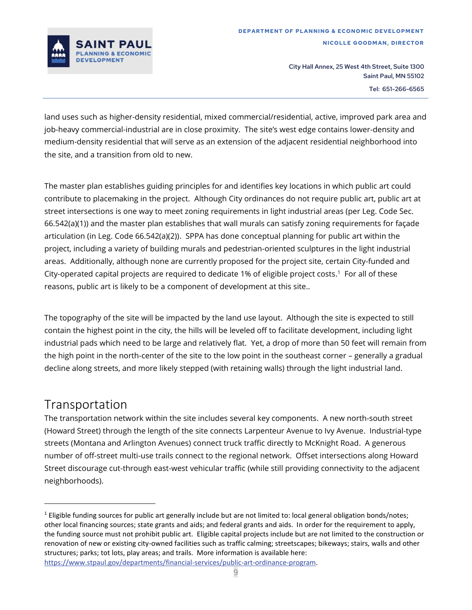

land uses such as higher-density residential, mixed commercial/residential, active, improved park area and job-heavy commercial-industrial are in close proximity. The site's west edge contains lower-density and medium-density residential that will serve as an extension of the adjacent residential neighborhood into the site, and a transition from old to new.

The master plan establishes guiding principles for and identifies key locations in which public art could contribute to placemaking in the project. Although City ordinances do not require public art, public art at street intersections is one way to meet zoning requirements in light industrial areas (per Leg. Code Sec. 66.542(a)(1)) and the master plan establishes that wall murals can satisfy zoning requirements for façade articulation (in Leg. Code 66.542(a)(2)). SPPA has done conceptual planning for public art within the project, including a variety of building murals and pedestrian-oriented sculptures in the light industrial areas. Additionally, although none are currently proposed for the project site, certain City-funded and City-operated capital projects are required to dedicate 1% of eligible project costs. 1 For all of these reasons, public art is likely to be a component of development at this site..

The topography of the site will be impacted by the land use layout. Although the site is expected to still contain the highest point in the city, the hills will be leveled off to facilitate development, including light industrial pads which need to be large and relatively flat. Yet, a drop of more than 50 feet will remain from the high point in the north-center of the site to the low point in the southeast corner – generally a gradual decline along streets, and more likely stepped (with retaining walls) through the light industrial land.

### Transportation

The transportation network within the site includes several key components. A new north-south street (Howard Street) through the length of the site connects Larpenteur Avenue to Ivy Avenue. Industrial-type streets (Montana and Arlington Avenues) connect truck traffic directly to McKnight Road. A generous number of off-street multi-use trails connect to the regional network. Offset intersections along Howard Street discourage cut-through east-west vehicular traffic (while still providing connectivity to the adjacent neighborhoods).

 $1$  Eligible funding sources for public art generally include but are not limited to: local general obligation bonds/notes; other local financing sources; state grants and aids; and federal grants and aids. In order for the requirement to apply, the funding source must not prohibit public art. Eligible capital projects include but are not limited to the construction or renovation of new or existing city-owned facilities such as traffic calming; streetscapes; bikeways; stairs, walls and other structures; parks; tot lots, play areas; and trails. More information is available here: [https://www.stpaul.gov/departments/financial-services/public-art-ordinance-program.](https://www.stpaul.gov/departments/financial-services/public-art-ordinance-program)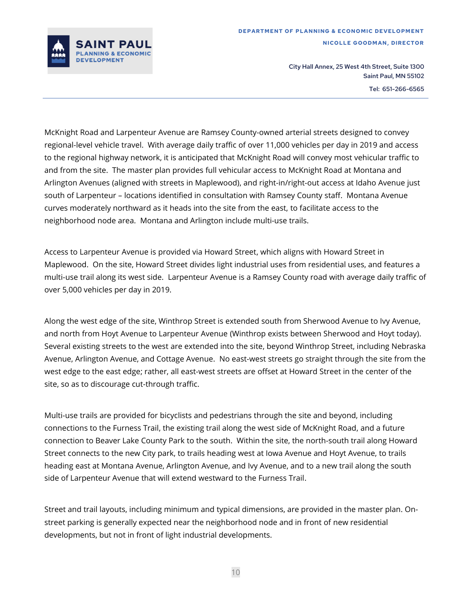

McKnight Road and Larpenteur Avenue are Ramsey County-owned arterial streets designed to convey regional-level vehicle travel. With average daily traffic of over 11,000 vehicles per day in 2019 and access to the regional highway network, it is anticipated that McKnight Road will convey most vehicular traffic to and from the site. The master plan provides full vehicular access to McKnight Road at Montana and Arlington Avenues (aligned with streets in Maplewood), and right-in/right-out access at Idaho Avenue just south of Larpenteur – locations identified in consultation with Ramsey County staff. Montana Avenue curves moderately northward as it heads into the site from the east, to facilitate access to the neighborhood node area. Montana and Arlington include multi-use trails.

Access to Larpenteur Avenue is provided via Howard Street, which aligns with Howard Street in Maplewood. On the site, Howard Street divides light industrial uses from residential uses, and features a multi-use trail along its west side. Larpenteur Avenue is a Ramsey County road with average daily traffic of over 5,000 vehicles per day in 2019.

Along the west edge of the site, Winthrop Street is extended south from Sherwood Avenue to Ivy Avenue, and north from Hoyt Avenue to Larpenteur Avenue (Winthrop exists between Sherwood and Hoyt today). Several existing streets to the west are extended into the site, beyond Winthrop Street, including Nebraska Avenue, Arlington Avenue, and Cottage Avenue. No east-west streets go straight through the site from the west edge to the east edge; rather, all east-west streets are offset at Howard Street in the center of the site, so as to discourage cut-through traffic.

Multi-use trails are provided for bicyclists and pedestrians through the site and beyond, including connections to the Furness Trail, the existing trail along the west side of McKnight Road, and a future connection to Beaver Lake County Park to the south. Within the site, the north-south trail along Howard Street connects to the new City park, to trails heading west at Iowa Avenue and Hoyt Avenue, to trails heading east at Montana Avenue, Arlington Avenue, and Ivy Avenue, and to a new trail along the south side of Larpenteur Avenue that will extend westward to the Furness Trail.

Street and trail layouts, including minimum and typical dimensions, are provided in the master plan. Onstreet parking is generally expected near the neighborhood node and in front of new residential developments, but not in front of light industrial developments.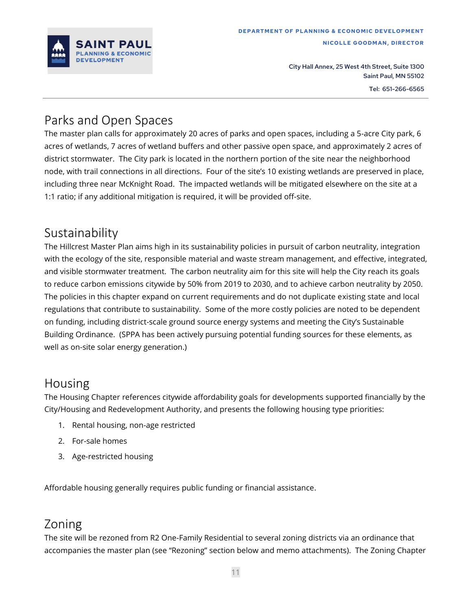

### Parks and Open Spaces

The master plan calls for approximately 20 acres of parks and open spaces, including a 5-acre City park, 6 acres of wetlands, 7 acres of wetland buffers and other passive open space, and approximately 2 acres of district stormwater. The City park is located in the northern portion of the site near the neighborhood node, with trail connections in all directions. Four of the site's 10 existing wetlands are preserved in place, including three near McKnight Road. The impacted wetlands will be mitigated elsewhere on the site at a 1:1 ratio; if any additional mitigation is required, it will be provided off-site.

### Sustainability

The Hillcrest Master Plan aims high in its sustainability policies in pursuit of carbon neutrality, integration with the ecology of the site, responsible material and waste stream management, and effective, integrated, and visible stormwater treatment. The carbon neutrality aim for this site will help the City reach its goals to reduce carbon emissions citywide by 50% from 2019 to 2030, and to achieve carbon neutrality by 2050. The policies in this chapter expand on current requirements and do not duplicate existing state and local regulations that contribute to sustainability. Some of the more costly policies are noted to be dependent on funding, including district-scale ground source energy systems and meeting the City's Sustainable Building Ordinance. (SPPA has been actively pursuing potential funding sources for these elements, as well as on-site solar energy generation.)

#### Housing

The Housing Chapter references citywide affordability goals for developments supported financially by the City/Housing and Redevelopment Authority, and presents the following housing type priorities:

- 1. Rental housing, non-age restricted
- 2. For-sale homes
- 3. Age-restricted housing

Affordable housing generally requires public funding or financial assistance.

### Zoning

The site will be rezoned from R2 One-Family Residential to several zoning districts via an ordinance that accompanies the master plan (see "Rezoning" section below and memo attachments). The Zoning Chapter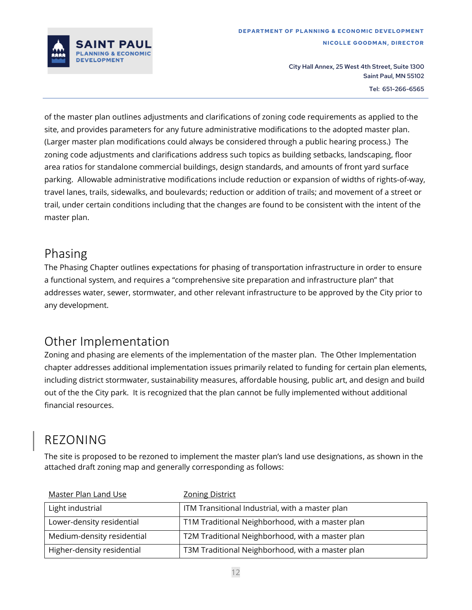

of the master plan outlines adjustments and clarifications of zoning code requirements as applied to the site, and provides parameters for any future administrative modifications to the adopted master plan. (Larger master plan modifications could always be considered through a public hearing process.) The zoning code adjustments and clarifications address such topics as building setbacks, landscaping, floor area ratios for standalone commercial buildings, design standards, and amounts of front yard surface parking. Allowable administrative modifications include reduction or expansion of widths of rights-of-way, travel lanes, trails, sidewalks, and boulevards; reduction or addition of trails; and movement of a street or trail, under certain conditions including that the changes are found to be consistent with the intent of the master plan.

### Phasing

The Phasing Chapter outlines expectations for phasing of transportation infrastructure in order to ensure a functional system, and requires a "comprehensive site preparation and infrastructure plan" that addresses water, sewer, stormwater, and other relevant infrastructure to be approved by the City prior to any development.

### Other Implementation

Zoning and phasing are elements of the implementation of the master plan. The Other Implementation chapter addresses additional implementation issues primarily related to funding for certain plan elements, including district stormwater, sustainability measures, affordable housing, public art, and design and build out of the the City park. It is recognized that the plan cannot be fully implemented without additional financial resources.

# <span id="page-11-0"></span>REZONING

The site is proposed to be rezoned to implement the master plan's land use designations, as shown in the attached draft zoning map and generally corresponding as follows:

| <b>Master Plan Land Use</b> | <b>Zoning District</b>                           |
|-----------------------------|--------------------------------------------------|
| Light industrial            | ITM Transitional Industrial, with a master plan  |
| Lower-density residential   | T1M Traditional Neighborhood, with a master plan |
| Medium-density residential  | T2M Traditional Neighborhood, with a master plan |
| Higher-density residential  | T3M Traditional Neighborhood, with a master plan |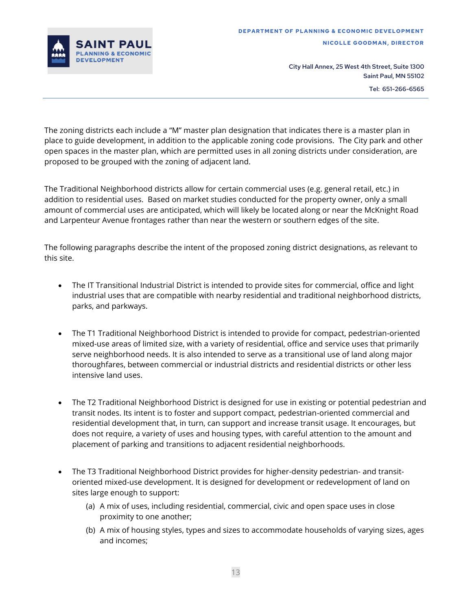

The zoning districts each include a "M" master plan designation that indicates there is a master plan in place to guide development, in addition to the applicable zoning code provisions. The City park and other open spaces in the master plan, which are permitted uses in all zoning districts under consideration, are proposed to be grouped with the zoning of adjacent land.

The Traditional Neighborhood districts allow for certain commercial uses (e.g. general retail, etc.) in addition to residential uses. Based on market studies conducted for the property owner, only a small amount of commercial uses are anticipated, which will likely be located along or near the McKnight Road and Larpenteur Avenue frontages rather than near the western or southern edges of the site.

The following paragraphs describe the intent of the proposed zoning district designations, as relevant to this site.

- The IT Transitional Industrial District is intended to provide sites for commercial, office and light industrial uses that are compatible with nearby residential and traditional neighborhood districts, parks, and parkways.
- The T1 Traditional Neighborhood District is intended to provide for compact, pedestrian-oriented mixed-use areas of limited size, with a variety of residential, office and service uses that primarily serve neighborhood needs. It is also intended to serve as a transitional use of land along major thoroughfares, between commercial or industrial districts and residential districts or other less intensive land uses.
- The T2 Traditional Neighborhood District is designed for use in existing or potential pedestrian and transit nodes. Its intent is to foster and support compact, pedestrian-oriented commercial and residential development that, in turn, can support and increase transit usage. It encourages, but does not require, a variety of uses and housing types, with careful attention to the amount and placement of parking and transitions to adjacent residential neighborhoods.
- The T3 Traditional Neighborhood District provides for higher-density pedestrian- and transitoriented mixed-use development. It is designed for development or redevelopment of land on sites large enough to support:
	- (a) A mix of uses, including residential, commercial, civic and open space uses in close proximity to one another;
	- (b) A mix of housing styles, types and sizes to accommodate households of varying sizes, ages and incomes;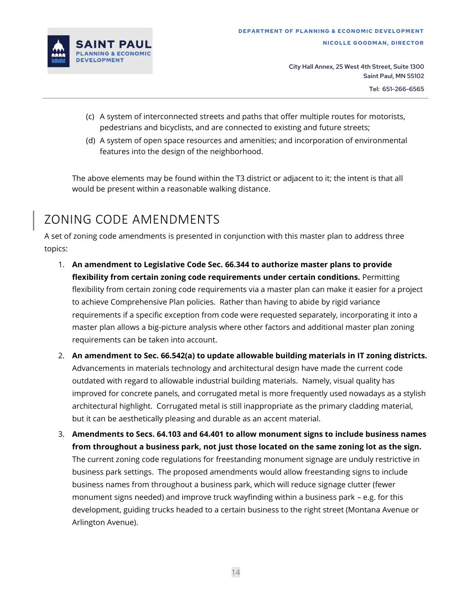

- (c) A system of interconnected streets and paths that offer multiple routes for motorists, pedestrians and bicyclists, and are connected to existing and future streets;
- (d) A system of open space resources and amenities; and incorporation of environmental features into the design of the neighborhood.

The above elements may be found within the T3 district or adjacent to it; the intent is that all would be present within a reasonable walking distance.

# <span id="page-13-0"></span>ZONING CODE AMENDMENTS

A set of zoning code amendments is presented in conjunction with this master plan to address three topics:

- 1. **An amendment to Legislative Code Sec. 66.344 to authorize master plans to provide flexibility from certain zoning code requirements under certain conditions.** Permitting flexibility from certain zoning code requirements via a master plan can make it easier for a project to achieve Comprehensive Plan policies. Rather than having to abide by rigid variance requirements if a specific exception from code were requested separately, incorporating it into a master plan allows a big-picture analysis where other factors and additional master plan zoning requirements can be taken into account.
- 2. **An amendment to Sec. 66.542(a) to update allowable building materials in IT zoning districts.** Advancements in materials technology and architectural design have made the current code outdated with regard to allowable industrial building materials. Namely, visual quality has improved for concrete panels, and corrugated metal is more frequently used nowadays as a stylish architectural highlight. Corrugated metal is still inappropriate as the primary cladding material, but it can be aesthetically pleasing and durable as an accent material.
- 3. **Amendments to Secs. 64.103 and 64.401 to allow monument signs to include business names from throughout a business park, not just those located on the same zoning lot as the sign.** The current zoning code regulations for freestanding monument signage are unduly restrictive in business park settings. The proposed amendments would allow freestanding signs to include business names from throughout a business park, which will reduce signage clutter (fewer monument signs needed) and improve truck wayfinding within a business park – e.g. for this development, guiding trucks headed to a certain business to the right street (Montana Avenue or Arlington Avenue).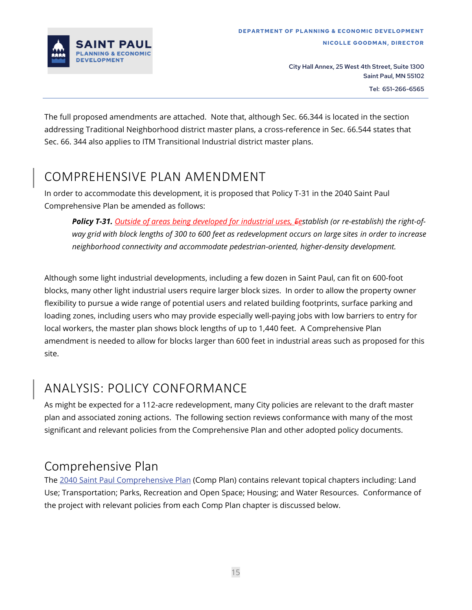

The full proposed amendments are attached. Note that, although Sec. 66.344 is located in the section addressing Traditional Neighborhood district master plans, a cross-reference in Sec. 66.544 states that Sec. 66. 344 also applies to ITM Transitional Industrial district master plans.

### <span id="page-14-0"></span>COMPREHENSIVE PLAN AMENDMENT

In order to accommodate this development, it is proposed that Policy T-31 in the 2040 Saint Paul Comprehensive Plan be amended as follows:

*Policy T-31. Outside of areas being developed for industrial uses, Eestablish (or re-establish) the right-ofway grid with block lengths of 300 to 600 feet as redevelopment occurs on large sites in order to increase neighborhood connectivity and accommodate pedestrian-oriented, higher-density development.*

Although some light industrial developments, including a few dozen in Saint Paul, can fit on 600-foot blocks, many other light industrial users require larger block sizes. In order to allow the property owner flexibility to pursue a wide range of potential users and related building footprints, surface parking and loading zones, including users who may provide especially well-paying jobs with low barriers to entry for local workers, the master plan shows block lengths of up to 1,440 feet. A Comprehensive Plan amendment is needed to allow for blocks larger than 600 feet in industrial areas such as proposed for this site.

### <span id="page-14-1"></span>ANALYSIS: POLICY CONFORMANCE

As might be expected for a 112-acre redevelopment, many City policies are relevant to the draft master plan and associated zoning actions. The following section reviews conformance with many of the most significant and relevant policies from the Comprehensive Plan and other adopted policy documents.

### Comprehensive Plan

The [2040 Saint Paul Comprehensive Plan](https://www.stpaul.gov/departments/planning-and-economic-development/planning/citywide-plans/2040-comprehensive-plan) (Comp Plan) contains relevant topical chapters including: Land Use; Transportation; Parks, Recreation and Open Space; Housing; and Water Resources. Conformance of the project with relevant policies from each Comp Plan chapter is discussed below.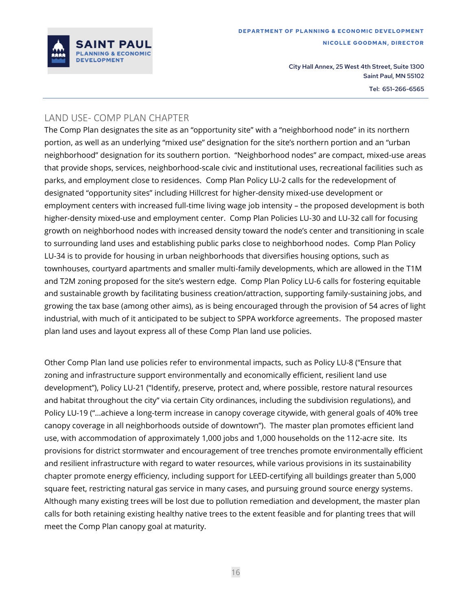

#### LAND USE- COMP PLAN CHAPTER

The Comp Plan designates the site as an "opportunity site" with a "neighborhood node" in its northern portion, as well as an underlying "mixed use" designation for the site's northern portion and an "urban neighborhood" designation for its southern portion. "Neighborhood nodes" are compact, mixed-use areas that provide shops, services, neighborhood-scale civic and institutional uses, recreational facilities such as parks, and employment close to residences. Comp Plan Policy LU-2 calls for the redevelopment of designated "opportunity sites" including Hillcrest for higher-density mixed-use development or employment centers with increased full-time living wage job intensity – the proposed development is both higher-density mixed-use and employment center. Comp Plan Policies LU-30 and LU-32 call for focusing growth on neighborhood nodes with increased density toward the node's center and transitioning in scale to surrounding land uses and establishing public parks close to neighborhood nodes. Comp Plan Policy LU-34 is to provide for housing in urban neighborhoods that diversifies housing options, such as townhouses, courtyard apartments and smaller multi-family developments, which are allowed in the T1M and T2M zoning proposed for the site's western edge. Comp Plan Policy LU-6 calls for fostering equitable and sustainable growth by facilitating business creation/attraction, supporting family-sustaining jobs, and growing the tax base (among other aims), as is being encouraged through the provision of 54 acres of light industrial, with much of it anticipated to be subject to SPPA workforce agreements. The proposed master plan land uses and layout express all of these Comp Plan land use policies.

Other Comp Plan land use policies refer to environmental impacts, such as Policy LU-8 ("Ensure that zoning and infrastructure support environmentally and economically efficient, resilient land use development"), Policy LU-21 ("Identify, preserve, protect and, where possible, restore natural resources and habitat throughout the city" via certain City ordinances, including the subdivision regulations), and Policy LU-19 ("…achieve a long-term increase in canopy coverage citywide, with general goals of 40% tree canopy coverage in all neighborhoods outside of downtown"). The master plan promotes efficient land use, with accommodation of approximately 1,000 jobs and 1,000 households on the 112-acre site. Its provisions for district stormwater and encouragement of tree trenches promote environmentally efficient and resilient infrastructure with regard to water resources, while various provisions in its sustainability chapter promote energy efficiency, including support for LEED-certifying all buildings greater than 5,000 square feet, restricting natural gas service in many cases, and pursuing ground source energy systems. Although many existing trees will be lost due to pollution remediation and development, the master plan calls for both retaining existing healthy native trees to the extent feasible and for planting trees that will meet the Comp Plan canopy goal at maturity.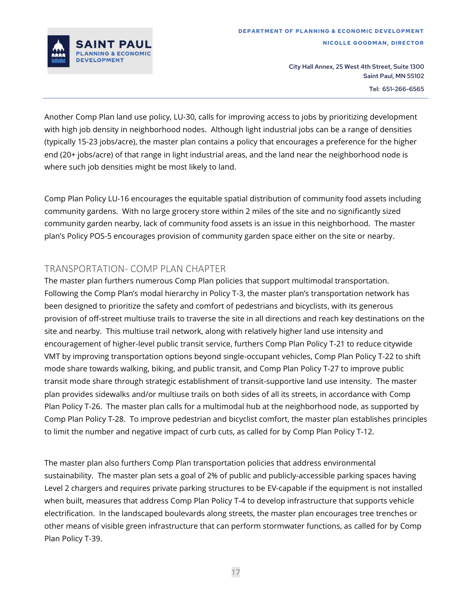

Another Comp Plan land use policy, LU-30, calls for improving access to jobs by prioritizing development with high job density in neighborhood nodes. Although light industrial jobs can be a range of densities (typically 15-23 jobs/acre), the master plan contains a policy that encourages a preference for the higher end (20+ jobs/acre) of that range in light industrial areas, and the land near the neighborhood node is where such job densities might be most likely to land.

Comp Plan Policy LU-16 encourages the equitable spatial distribution of community food assets including community gardens. With no large grocery store within 2 miles of the site and no significantly sized community garden nearby, lack of community food assets is an issue in this neighborhood. The master plan's Policy POS-5 encourages provision of community garden space either on the site or nearby.

#### TRANSPORTATION- COMP PLAN CHAPTER

The master plan furthers numerous Comp Plan policies that support multimodal transportation. Following the Comp Plan's modal hierarchy in Policy T-3, the master plan's transportation network has been designed to prioritize the safety and comfort of pedestrians and bicyclists, with its generous provision of off-street multiuse trails to traverse the site in all directions and reach key destinations on the site and nearby. This multiuse trail network, along with relatively higher land use intensity and encouragement of higher-level public transit service, furthers Comp Plan Policy T-21 to reduce citywide VMT by improving transportation options beyond single-occupant vehicles, Comp Plan Policy T-22 to shift mode share towards walking, biking, and public transit, and Comp Plan Policy T-27 to improve public transit mode share through strategic establishment of transit-supportive land use intensity. The master plan provides sidewalks and/or multiuse trails on both sides of all its streets, in accordance with Comp Plan Policy T-26. The master plan calls for a multimodal hub at the neighborhood node, as supported by Comp Plan Policy T-28. To improve pedestrian and bicyclist comfort, the master plan establishes principles to limit the number and negative impact of curb cuts, as called for by Comp Plan Policy T-12.

The master plan also furthers Comp Plan transportation policies that address environmental sustainability. The master plan sets a goal of 2% of public and publicly-accessible parking spaces having Level 2 chargers and requires private parking structures to be EV-capable if the equipment is not installed when built, measures that address Comp Plan Policy T-4 to develop infrastructure that supports vehicle electrification. In the landscaped boulevards along streets, the master plan encourages tree trenches or other means of visible green infrastructure that can perform stormwater functions, as called for by Comp Plan Policy T-39.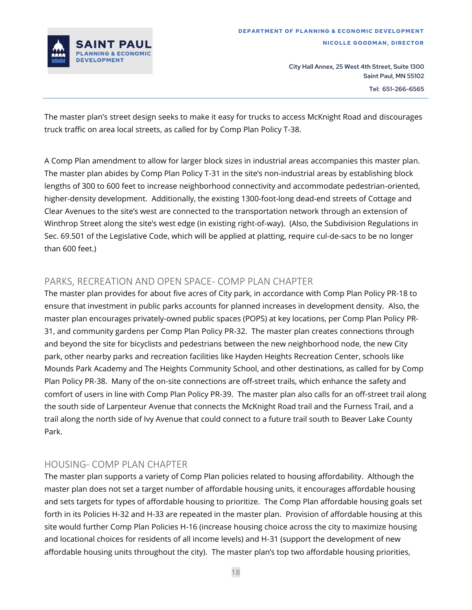

The master plan's street design seeks to make it easy for trucks to access McKnight Road and discourages truck traffic on area local streets, as called for by Comp Plan Policy T-38.

A Comp Plan amendment to allow for larger block sizes in industrial areas accompanies this master plan. The master plan abides by Comp Plan Policy T-31 in the site's non-industrial areas by establishing block lengths of 300 to 600 feet to increase neighborhood connectivity and accommodate pedestrian-oriented, higher-density development. Additionally, the existing 1300-foot-long dead-end streets of Cottage and Clear Avenues to the site's west are connected to the transportation network through an extension of Winthrop Street along the site's west edge (in existing right-of-way). (Also, the Subdivision Regulations in Sec. 69.501 of the Legislative Code, which will be applied at platting, require cul-de-sacs to be no longer than 600 feet.)

#### PARKS, RECREATION AND OPEN SPACE- COMP PLAN CHAPTER

The master plan provides for about five acres of City park, in accordance with Comp Plan Policy PR-18 to ensure that investment in public parks accounts for planned increases in development density. Also, the master plan encourages privately-owned public spaces (POPS) at key locations, per Comp Plan Policy PR-31, and community gardens per Comp Plan Policy PR-32. The master plan creates connections through and beyond the site for bicyclists and pedestrians between the new neighborhood node, the new City park, other nearby parks and recreation facilities like Hayden Heights Recreation Center, schools like Mounds Park Academy and The Heights Community School, and other destinations, as called for by Comp Plan Policy PR-38. Many of the on-site connections are off-street trails, which enhance the safety and comfort of users in line with Comp Plan Policy PR-39. The master plan also calls for an off-street trail along the south side of Larpenteur Avenue that connects the McKnight Road trail and the Furness Trail, and a trail along the north side of Ivy Avenue that could connect to a future trail south to Beaver Lake County Park.

#### HOUSING- COMP PLAN CHAPTER

The master plan supports a variety of Comp Plan policies related to housing affordability. Although the master plan does not set a target number of affordable housing units, it encourages affordable housing and sets targets for types of affordable housing to prioritize. The Comp Plan affordable housing goals set forth in its Policies H-32 and H-33 are repeated in the master plan. Provision of affordable housing at this site would further Comp Plan Policies H-16 (increase housing choice across the city to maximize housing and locational choices for residents of all income levels) and H-31 (support the development of new affordable housing units throughout the city). The master plan's top two affordable housing priorities,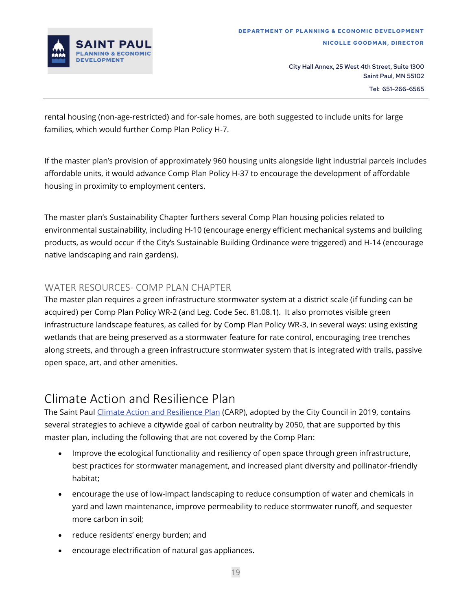

rental housing (non-age-restricted) and for-sale homes, are both suggested to include units for large families, which would further Comp Plan Policy H-7.

If the master plan's provision of approximately 960 housing units alongside light industrial parcels includes affordable units, it would advance Comp Plan Policy H-37 to encourage the development of affordable housing in proximity to employment centers.

The master plan's Sustainability Chapter furthers several Comp Plan housing policies related to environmental sustainability, including H-10 (encourage energy efficient mechanical systems and building products, as would occur if the City's Sustainable Building Ordinance were triggered) and H-14 (encourage native landscaping and rain gardens).

#### WATER RESOURCES- COMP PLAN CHAPTER

The master plan requires a green infrastructure stormwater system at a district scale (if funding can be acquired) per Comp Plan Policy WR-2 (and Leg. Code Sec. 81.08.1). It also promotes visible green infrastructure landscape features, as called for by Comp Plan Policy WR-3, in several ways: using existing wetlands that are being preserved as a stormwater feature for rate control, encouraging tree trenches along streets, and through a green infrastructure stormwater system that is integrated with trails, passive open space, art, and other amenities.

### Climate Action and Resilience Plan

The Saint Paul [Climate Action and Resilience](https://www.stpaul.gov/departments/mayors-office/climate-action-planning/climate-action-resilience-plan) Plan (CARP), adopted by the City Council in 2019, contains several strategies to achieve a citywide goal of carbon neutrality by 2050, that are supported by this master plan, including the following that are not covered by the Comp Plan:

- Improve the ecological functionality and resiliency of open space through green infrastructure, best practices for stormwater management, and increased plant diversity and pollinator-friendly habitat;
- encourage the use of low-impact landscaping to reduce consumption of water and chemicals in yard and lawn maintenance, improve permeability to reduce stormwater runoff, and sequester more carbon in soil;
- reduce residents' energy burden; and
- encourage electrification of natural gas appliances.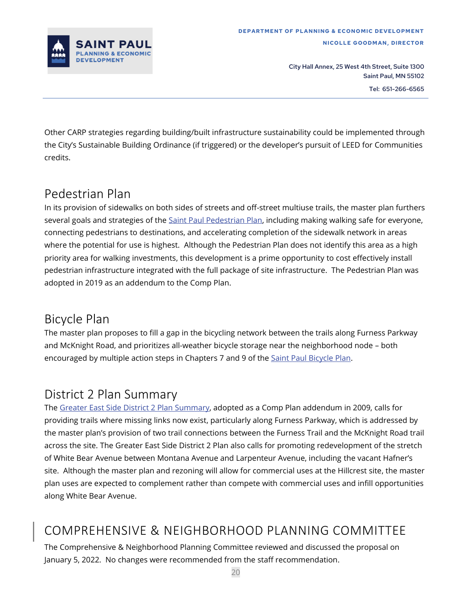

Other CARP strategies regarding building/built infrastructure sustainability could be implemented through the City's Sustainable Building Ordinance (if triggered) or the developer's pursuit of LEED for Communities credits.

### Pedestrian Plan

In its provision of sidewalks on both sides of streets and off-street multiuse trails, the master plan furthers several goals and strategies of th[e Saint Paul Pedestrian Plan,](https://www.stpaul.gov/departments/public-works/transportation-and-transit/walking-saint-paul) including making walking safe for everyone, connecting pedestrians to destinations, and accelerating completion of the sidewalk network in areas where the potential for use is highest. Although the Pedestrian Plan does not identify this area as a high priority area for walking investments, this development is a prime opportunity to cost effectively install pedestrian infrastructure integrated with the full package of site infrastructure. The Pedestrian Plan was adopted in 2019 as an addendum to the Comp Plan.

### Bicycle Plan

The master plan proposes to fill a gap in the bicycling network between the trails along Furness Parkway and McKnight Road, and prioritizes all-weather bicycle storage near the neighborhood node – both encouraged by multiple action steps in Chapters 7 and 9 of the [Saint Paul Bicycle Plan.](https://www.stpaul.gov/departments/public-works/transportation-and-transit/bike-saint-paul/saint-paul-bicycle-plan)

### District 2 Plan Summary

The [Greater East Side District 2 Plan](https://www.stpaul.gov/sites/default/files/Media%20Root/Planning%20%26%20Economic%20Development/District%202%20update%20summary-ADOPTED%20SUMMARY.pdf) Summary, adopted as a Comp Plan addendum in 2009, calls for providing trails where missing links now exist, particularly along Furness Parkway, which is addressed by the master plan's provision of two trail connections between the Furness Trail and the McKnight Road trail across the site. The Greater East Side District 2 Plan also calls for promoting redevelopment of the stretch of White Bear Avenue between Montana Avenue and Larpenteur Avenue, including the vacant Hafner's site. Although the master plan and rezoning will allow for commercial uses at the Hillcrest site, the master plan uses are expected to complement rather than compete with commercial uses and infill opportunities along White Bear Avenue.

### COMPREHENSIVE & NEIGHBORHOOD PLANNING COMMITTEE

The Comprehensive & Neighborhood Planning Committee reviewed and discussed the proposal on January 5, 2022. No changes were recommended from the staff recommendation.